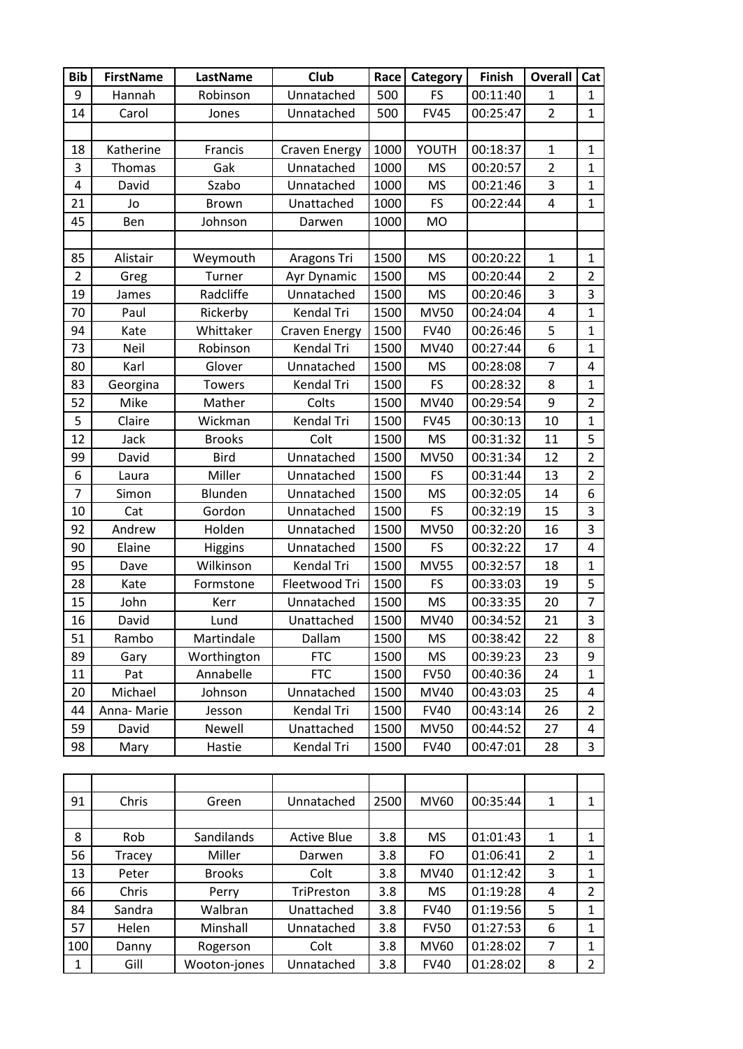| <b>Bib</b>     | <b>FirstName</b> | LastName       | Club                 | Race         | Category            | <b>Finish</b> | <b>Overall</b> | Cat            |
|----------------|------------------|----------------|----------------------|--------------|---------------------|---------------|----------------|----------------|
| 9              | Hannah           | Robinson       | Unnatached           | 500          | <b>FS</b>           | 00:11:40      | $\mathbf 1$    | 1              |
| 14             | Carol            | Jones          | Unnatached           | 500          | <b>FV45</b>         | 00:25:47      | $\overline{2}$ | $\mathbf{1}$   |
|                |                  |                |                      |              |                     |               |                |                |
| 18             | Katherine        | Francis        | Craven Energy        | 1000         | YOUTH               | 00:18:37      | $\mathbf 1$    | $\mathbf{1}$   |
| 3              | <b>Thomas</b>    | Gak            | Unnatached           | 1000         | <b>MS</b>           | 00:20:57      | $\overline{2}$ | 1              |
| 4              | David            | Szabo          | Unnatached           | 1000         | <b>MS</b>           | 00:21:46      | 3              | $\mathbf{1}$   |
| 21             | Jo               | <b>Brown</b>   | Unattached           | 1000         | <b>FS</b>           | 00:22:44      | $\overline{4}$ | $\mathbf{1}$   |
| 45             | Ben              | Johnson        | Darwen               | 1000         | <b>MO</b>           |               |                |                |
|                |                  |                |                      |              |                     |               |                |                |
| 85             | Alistair         | Weymouth       | Aragons Tri          | 1500         | <b>MS</b>           | 00:20:22      | $\mathbf 1$    | $\mathbf{1}$   |
| $\overline{2}$ | Greg             | Turner         | Ayr Dynamic          | 1500         | <b>MS</b>           | 00:20:44      | $\overline{2}$ | $\overline{2}$ |
| 19             | James            | Radcliffe      | Unnatached           | 1500         | <b>MS</b>           | 00:20:46      | 3              | 3              |
| 70             | Paul             | Rickerby       | Kendal Tri           | 1500         | <b>MV50</b>         | 00:24:04      | $\overline{4}$ | $\mathbf{1}$   |
| 94             | Kate             | Whittaker      | <b>Craven Energy</b> | 1500         | <b>FV40</b>         | 00:26:46      | 5              | $\mathbf{1}$   |
| 73             | Neil             | Robinson       | Kendal Tri           | 1500         | MV40                | 00:27:44      | 6              | $\mathbf{1}$   |
| 80             | Karl             | Glover         | Unnatached           | 1500         | <b>MS</b>           | 00:28:08      | $\overline{7}$ | 4              |
| 83             | Georgina         | <b>Towers</b>  | Kendal Tri           | 1500         | <b>FS</b>           | 00:28:32      | 8              | $\mathbf{1}$   |
| 52             | Mike             | Mather         | Colts                | 1500         | MV40                | 00:29:54      | 9              | $\overline{2}$ |
| 5              | Claire           | Wickman        | Kendal Tri           | 1500         | <b>FV45</b>         | 00:30:13      | 10             | $\mathbf{1}$   |
| 12             | Jack             | <b>Brooks</b>  | Colt                 | 1500         | <b>MS</b>           | 00:31:32      | 11             | 5              |
| 99             | David            | <b>Bird</b>    | Unnatached           | 1500         | <b>MV50</b>         | 00:31:34      | 12             | $\overline{2}$ |
| 6              | Laura            | Miller         | Unnatached           | 1500         | FS                  | 00:31:44      | 13             | $\overline{2}$ |
| $\overline{7}$ | Simon            | Blunden        | Unnatached           | 1500         | <b>MS</b>           | 00:32:05      | 14             | 6              |
| 10             | Cat              | Gordon         | Unnatached           | 1500         | FS                  | 00:32:19      | 15             | 3              |
| 92             | Andrew           | Holden         | Unnatached           | 1500         | <b>MV50</b>         | 00:32:20      | 16             | 3              |
| 90             | Elaine           | <b>Higgins</b> | Unnatached           | 1500         | <b>FS</b>           | 00:32:22      | 17             | $\overline{4}$ |
| 95             | Dave             | Wilkinson      | Kendal Tri           | 1500         | <b>MV55</b>         | 00:32:57      | 18             | 1              |
| 28             | Kate             | Formstone      | Fleetwood Tri        | 1500         | FS                  | 00:33:03      | 19             | 5              |
| 15             | John             | Kerr           | Unnatached           | 1500         | <b>MS</b>           | 00:33:35      | 20             | $\overline{7}$ |
| 16             | David            | Lund           | Unattached           | 1500         | MV40                | 00:34:52      | 21             | 3              |
| 51             | Rambo            | Martindale     | Dallam               | 1500         | <b>MS</b>           | 00:38:42      | 22             | 8              |
| 89             | Gary             | Worthington    | <b>FTC</b>           | 1500         | <b>MS</b>           | 00:39:23      | 23             | 9              |
| 11             | Pat              | Annabelle      | <b>FTC</b>           | 1500         | <b>FV50</b>         | 00:40:36      | 24             | $\mathbf{1}$   |
| 20             | Michael          | Johnson        | Unnatached           | 1500         | MV40                | 00:43:03      | 25             | 4              |
| 44             | Anna-Marie       | Jesson         | Kendal Tri           | 1500         | <b>FV40</b>         | 00:43:14      | 26             | $\overline{2}$ |
| 59             | David            | Newell         | Unattached           | 1500         | <b>MV50</b>         | 00:44:52      | 27             | 4              |
| 98             | Mary             | Hastie         | Kendal Tri           | 1500         | <b>FV40</b>         | 00:47:01      | 28             | 3              |
|                |                  |                |                      |              |                     |               |                |                |
|                |                  |                |                      |              |                     |               |                |                |
|                | Chais            |                | $I$ lanataahaal      | <b>propl</b> | $N$ $N$ $IC$ $\cap$ | 00.25.44      |                |                |

| 91           | Chris  | Green         | Unnatached         | 2500 | MV60        | 00:35:44 | 1            |                |
|--------------|--------|---------------|--------------------|------|-------------|----------|--------------|----------------|
|              |        |               |                    |      |             |          |              |                |
| 8            | Rob    | Sandilands    | <b>Active Blue</b> | 3.8  | <b>MS</b>   | 01:01:43 | $\mathbf{1}$ | 1              |
| 56           | Tracey | Miller        | Darwen             | 3.8  | FO          | 01:06:41 | 2            |                |
| 13           | Peter  | <b>Brooks</b> | Colt               | 3.8  | MV40        | 01:12:42 | 3            | 1              |
| 66           | Chris  | Perry         | TriPreston         | 3.8  | <b>MS</b>   | 01:19:28 | 4            | 2              |
| 84           | Sandra | Walbran       | Unattached         | 3.8  | <b>FV40</b> | 01:19:56 | 5            | 1              |
| 57           | Helen  | Minshall      | Unnatached         | 3.8  | <b>FV50</b> | 01:27:53 | 6            | 1              |
| 100          | Danny  | Rogerson      | Colt               | 3.8  | MV60        | 01:28:02 | 7            | 1              |
| $\mathbf{1}$ | Gill   | Wooton-jones  | Unnatached         | 3.8  | <b>FV40</b> | 01:28:02 | 8            | $\overline{2}$ |